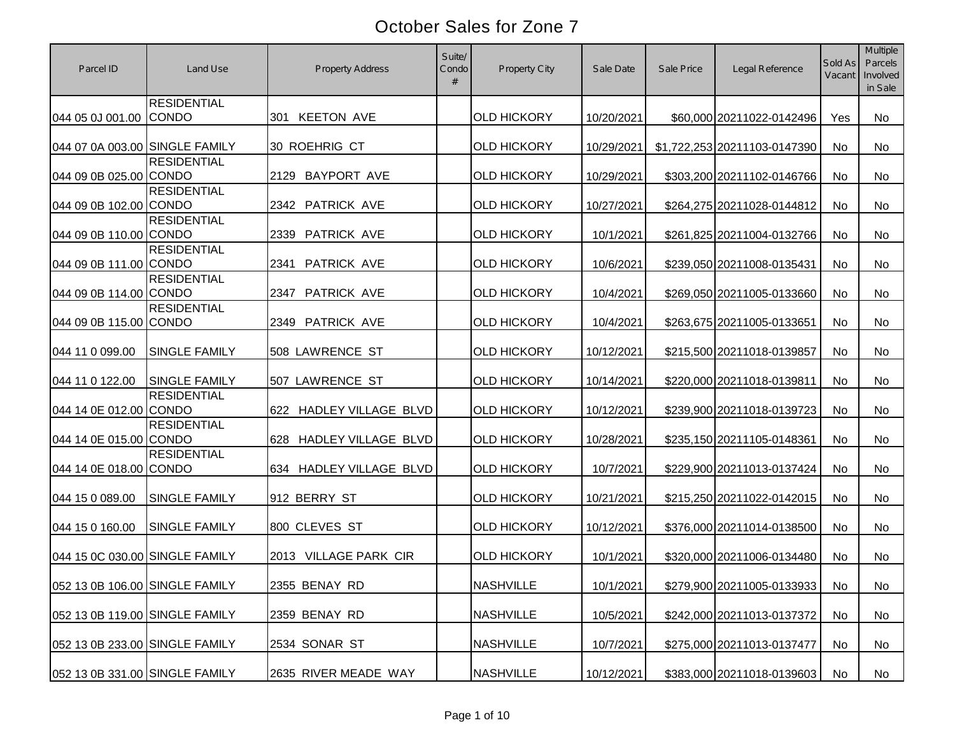| Parcel ID                      | Land Use                           | <b>Property Address</b>    | Suite/<br>Condo | <b>Property City</b> | Sale Date  | Sale Price | Legal Reference              | Sold As<br>Vacant | <b>Multiple</b><br>Parcels<br>Involved<br>in Sale |
|--------------------------------|------------------------------------|----------------------------|-----------------|----------------------|------------|------------|------------------------------|-------------------|---------------------------------------------------|
| 044 05 0J 001.00               | <b>RESIDENTIAL</b><br><b>CONDO</b> | 301 KEETON AVE             |                 | <b>OLD HICKORY</b>   | 10/20/2021 |            | \$60,000 20211022-0142496    | Yes               | <b>No</b>                                         |
| 044 07 0A 003.00 SINGLE FAMILY |                                    | 30 ROEHRIG CT              |                 | <b>OLD HICKORY</b>   | 10/29/2021 |            | \$1,722,253 20211103-0147390 | No                | <b>No</b>                                         |
| 044 09 0B 025.00 CONDO         | <b>RESIDENTIAL</b>                 | <b>BAYPORT AVE</b><br>2129 |                 | <b>OLD HICKORY</b>   | 10/29/2021 |            | \$303,200 20211102-0146766   | No                | No                                                |
| 044 09 0B 102.00 CONDO         | <b>RESIDENTIAL</b>                 | <b>PATRICK AVE</b><br>2342 |                 | <b>OLD HICKORY</b>   | 10/27/2021 |            | \$264,275 20211028-0144812   | No                | No                                                |
| 044 09 0B 110.00 CONDO         | <b>RESIDENTIAL</b>                 | PATRICK AVE<br>2339        |                 | <b>OLD HICKORY</b>   | 10/1/2021  |            | \$261,825 20211004-0132766   | No                | <b>No</b>                                         |
| 044 09 0B 111.00               | <b>RESIDENTIAL</b><br><b>CONDO</b> | PATRICK AVE<br>2341        |                 | <b>OLD HICKORY</b>   | 10/6/2021  |            | \$239,050 20211008-0135431   | No                | No                                                |
| 044 09 0B 114.00 CONDO         | <b>RESIDENTIAL</b>                 | PATRICK AVE<br>2347        |                 | <b>OLD HICKORY</b>   | 10/4/2021  |            | \$269,050 20211005-0133660   | No                | No                                                |
| 044 09 0B 115.00 CONDO         | <b>RESIDENTIAL</b>                 | <b>PATRICK AVE</b><br>2349 |                 | <b>OLD HICKORY</b>   | 10/4/2021  |            | \$263,675 20211005-0133651   | No                | <b>No</b>                                         |
| 044 11 0 099.00                | <b>SINGLE FAMILY</b>               | 508 LAWRENCE ST            |                 | <b>OLD HICKORY</b>   | 10/12/2021 |            | \$215,500 20211018-0139857   | No                | No                                                |
| 044 11 0 122.00                | <b>SINGLE FAMILY</b>               | 507 LAWRENCE ST            |                 | <b>OLD HICKORY</b>   | 10/14/2021 |            | \$220,000 20211018-0139811   | No                | <b>No</b>                                         |
| 044 14 0E 012.00 CONDO         | <b>RESIDENTIAL</b>                 | 622 HADLEY VILLAGE BLVD    |                 | <b>OLD HICKORY</b>   | 10/12/2021 |            | \$239,900 20211018-0139723   | No                | <b>No</b>                                         |
| 044 14 0E 015.00 CONDO         | <b>RESIDENTIAL</b>                 | 628 HADLEY VILLAGE BLVD    |                 | <b>OLD HICKORY</b>   | 10/28/2021 |            | \$235,150 20211105-0148361   | No                | <b>No</b>                                         |
| 044 14 0E 018.00 CONDO         | <b>RESIDENTIAL</b>                 | 634 HADLEY VILLAGE BLVD    |                 | <b>OLD HICKORY</b>   | 10/7/2021  |            | \$229,900 20211013-0137424   | No                | <b>No</b>                                         |
| 044 15 0 089.00                | SINGLE FAMILY                      | 912 BERRY ST               |                 | <b>OLD HICKORY</b>   | 10/21/2021 |            | \$215,250 20211022-0142015   | No                | <b>No</b>                                         |
| 044 15 0 160.00                | <b>SINGLE FAMILY</b>               | 800 CLEVES ST              |                 | <b>OLD HICKORY</b>   | 10/12/2021 |            | \$376,000 20211014-0138500   | No                | No                                                |
| 044 15 0C 030.00 SINGLE FAMILY |                                    | 2013 VILLAGE PARK CIR      |                 | <b>OLD HICKORY</b>   | 10/1/2021  |            | \$320,000 20211006-0134480   | No                | No                                                |
| 052 13 0B 106.00 SINGLE FAMILY |                                    | 2355 BENAY RD              |                 | <b>NASHVILLE</b>     | 10/1/2021  |            | \$279,900 20211005-0133933   | No                | No                                                |
| 052 13 0B 119.00 SINGLE FAMILY |                                    | 2359 BENAY RD              |                 | <b>NASHVILLE</b>     | 10/5/2021  |            | \$242,000 20211013-0137372   | No                | No                                                |
| 052 13 0B 233.00 SINGLE FAMILY |                                    | 2534 SONAR ST              |                 | <b>NASHVILLE</b>     | 10/7/2021  |            | \$275,000 20211013-0137477   | No                | No                                                |
| 052 13 0B 331.00 SINGLE FAMILY |                                    | 2635 RIVER MEADE WAY       |                 | <b>NASHVILLE</b>     | 10/12/2021 |            | \$383,000 20211018-0139603   | No                | No                                                |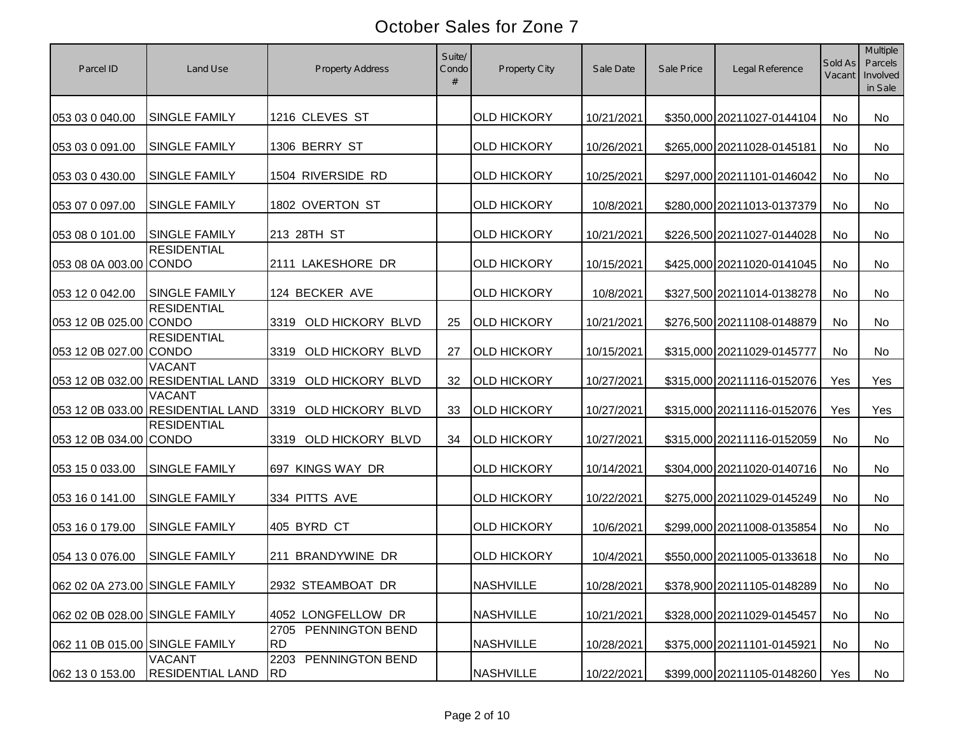| Parcel ID                      | Land Use                                           | <b>Property Address</b>              | Suite/<br>Condo | Property City      | Sale Date  | Sale Price | Legal Reference            | Sold As<br>Vacant | <b>Multiple</b><br>Parcels<br>Involved<br>in Sale |
|--------------------------------|----------------------------------------------------|--------------------------------------|-----------------|--------------------|------------|------------|----------------------------|-------------------|---------------------------------------------------|
| 053 03 0 040.00                | <b>SINGLE FAMILY</b>                               | 1216 CLEVES ST                       |                 | <b>OLD HICKORY</b> | 10/21/2021 |            | \$350,000 20211027-0144104 | <b>No</b>         | No                                                |
| 053 03 0 091.00                | <b>SINGLE FAMILY</b>                               | 1306 BERRY ST                        |                 | <b>OLD HICKORY</b> | 10/26/2021 |            | \$265,000 20211028-0145181 | <b>No</b>         | No                                                |
| 053 03 0 430.00                | <b>SINGLE FAMILY</b>                               | 1504 RIVERSIDE RD                    |                 | <b>OLD HICKORY</b> | 10/25/2021 |            | \$297,000 20211101-0146042 | No                | No                                                |
| 053 07 0 097.00                | <b>SINGLE FAMILY</b>                               | 1802 OVERTON ST                      |                 | <b>OLD HICKORY</b> | 10/8/2021  |            | \$280,000 20211013-0137379 | <b>No</b>         | No                                                |
| 053 08 0 101.00                | <b>SINGLE FAMILY</b>                               | 213 28TH ST                          |                 | <b>OLD HICKORY</b> | 10/21/2021 |            | \$226,500 20211027-0144028 | <b>No</b>         | No                                                |
| 053 08 0A 003.00               | <b>RESIDENTIAL</b><br><b>CONDO</b>                 | 2111 LAKESHORE DR                    |                 | <b>OLD HICKORY</b> | 10/15/2021 |            | \$425,000 20211020-0141045 | No                | No                                                |
| 053 12 0 042.00                | <b>SINGLE FAMILY</b>                               | 124 BECKER AVE                       |                 | <b>OLD HICKORY</b> | 10/8/2021  |            | \$327,500 20211014-0138278 | No                | No                                                |
| 053 12 0B 025.00               | <b>RESIDENTIAL</b><br><b>CONDO</b>                 | OLD HICKORY BLVD<br>3319             | 25              | <b>OLD HICKORY</b> | 10/21/2021 |            | \$276,500 20211108-0148879 | No                | <b>No</b>                                         |
| 053 12 0B 027.00 CONDO         | <b>RESIDENTIAL</b>                                 | 3319<br>OLD HICKORY BLVD             | 27              | <b>OLD HICKORY</b> | 10/15/2021 |            | \$315,000 20211029-0145777 | No                | No                                                |
|                                | <b>VACANT</b><br>053 12 0B 032.00 RESIDENTIAL LAND | 3319<br>OLD HICKORY BLVD             | 32              | <b>OLD HICKORY</b> | 10/27/2021 |            | \$315,000 20211116-0152076 | Yes               | Yes                                               |
|                                | <b>VACANT</b><br>053 12 0B 033.00 RESIDENTIAL LAND | 3319<br>OLD HICKORY BLVD             | 33              | <b>OLD HICKORY</b> | 10/27/2021 |            | \$315,000 20211116-0152076 | Yes               | Yes                                               |
| 053 12 0B 034.00 CONDO         | <b>RESIDENTIAL</b>                                 | OLD HICKORY BLVD<br>3319             | 34              | <b>OLD HICKORY</b> | 10/27/2021 |            | \$315,000 20211116-0152059 | No                | <b>No</b>                                         |
| 053 15 0 033.00                | <b>SINGLE FAMILY</b>                               | 697 KINGS WAY DR                     |                 | <b>OLD HICKORY</b> | 10/14/2021 |            | \$304,000 20211020-0140716 | No                | <b>No</b>                                         |
| 053 16 0 141.00                | <b>SINGLE FAMILY</b>                               | 334 PITTS AVE                        |                 | <b>OLD HICKORY</b> | 10/22/2021 |            | \$275,000 20211029-0145249 | No                | <b>No</b>                                         |
| 053 16 0 179.00                | <b>SINGLE FAMILY</b>                               | 405 BYRD CT                          |                 | <b>OLD HICKORY</b> | 10/6/2021  |            | \$299,000 20211008-0135854 | No                | No                                                |
| 054 13 0 076.00                | <b>SINGLE FAMILY</b>                               | 211 BRANDYWINE DR                    |                 | <b>OLD HICKORY</b> | 10/4/2021  |            | \$550,000 20211005-0133618 | No                | No                                                |
| 062 02 0A 273.00 SINGLE FAMILY |                                                    | 2932 STEAMBOAT DR                    |                 | <b>NASHVILLE</b>   | 10/28/2021 |            | \$378,900 20211105-0148289 | No                | No                                                |
| 062 02 0B 028.00 SINGLE FAMILY |                                                    | 4052 LONGFELLOW DR                   |                 | <b>NASHVILLE</b>   | 10/21/2021 |            | \$328,000 20211029-0145457 | No                | No                                                |
| 062 11 0B 015.00 SINGLE FAMILY |                                                    | 2705 PENNINGTON BEND<br><b>RD</b>    |                 | <b>NASHVILLE</b>   | 10/28/2021 |            | \$375,000 20211101-0145921 | No                | No                                                |
| 062 13 0 153.00                | <b>VACANT</b><br><b>RESIDENTIAL LAND</b>           | 2203<br>PENNINGTON BEND<br><b>RD</b> |                 | <b>NASHVILLE</b>   | 10/22/2021 |            | \$399,000 20211105-0148260 | Yes               | No                                                |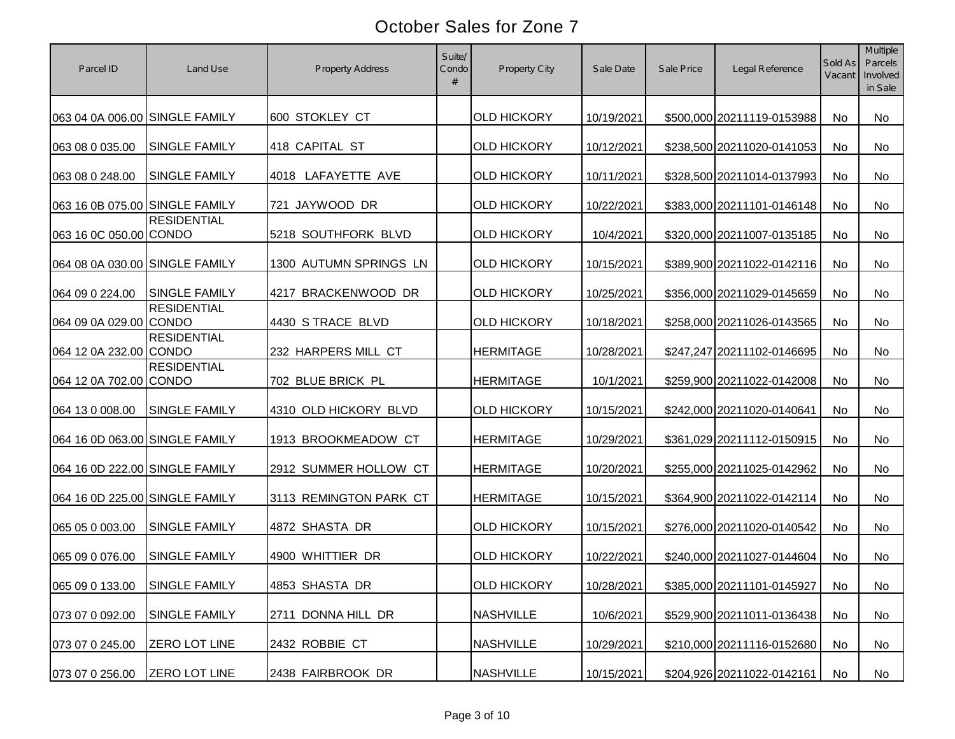| Parcel ID                      | Land Use             | <b>Property Address</b> | Suite/<br>Condo | Property City      | Sale Date  | Sale Price | Legal Reference            | Sold As<br>Vacant | <b>Multiple</b><br>Parcels<br>Involved<br>in Sale |
|--------------------------------|----------------------|-------------------------|-----------------|--------------------|------------|------------|----------------------------|-------------------|---------------------------------------------------|
| 063 04 0A 006.00 SINGLE FAMILY |                      | 600 STOKLEY CT          |                 | <b>OLD HICKORY</b> | 10/19/2021 |            | \$500,000 20211119-0153988 | No                | No                                                |
| 063 08 0 035.00                | <b>SINGLE FAMILY</b> | 418 CAPITAL ST          |                 | <b>OLD HICKORY</b> | 10/12/2021 |            | \$238,500 20211020-0141053 | <b>No</b>         | No                                                |
| 063 08 0 248.00                | <b>SINGLE FAMILY</b> | 4018 LAFAYETTE AVE      |                 | <b>OLD HICKORY</b> | 10/11/2021 |            | \$328,500 20211014-0137993 | <b>No</b>         | No                                                |
| 063 16 0B 075.00 SINGLE FAMILY |                      | 721 JAYWOOD DR          |                 | <b>OLD HICKORY</b> | 10/22/2021 |            | \$383,000 20211101-0146148 | <b>No</b>         | No                                                |
| 063 16 0C 050.00 CONDO         | <b>RESIDENTIAL</b>   | 5218 SOUTHFORK BLVD     |                 | <b>OLD HICKORY</b> | 10/4/2021  |            | \$320,000 20211007-0135185 | <b>No</b>         | No                                                |
| 064 08 0A 030.00 SINGLE FAMILY |                      | 1300 AUTUMN SPRINGS LN  |                 | <b>OLD HICKORY</b> | 10/15/2021 |            | \$389,900 20211022-0142116 | No                | No                                                |
| 064 09 0 224.00                | <b>SINGLE FAMILY</b> | 4217 BRACKENWOOD DR     |                 | <b>OLD HICKORY</b> | 10/25/2021 |            | \$356,000 20211029-0145659 | No                | No                                                |
| 064 09 0A 029.00 CONDO         | <b>RESIDENTIAL</b>   | 4430 S TRACE BLVD       |                 | <b>OLD HICKORY</b> | 10/18/2021 |            | \$258,000 20211026-0143565 | No                | <b>No</b>                                         |
| 064 12 0A 232.00 CONDO         | <b>RESIDENTIAL</b>   | 232 HARPERS MILL CT     |                 | <b>HERMITAGE</b>   | 10/28/2021 |            | \$247,247 20211102-0146695 | No                | No                                                |
| 064 12 0A 702.00 CONDO         | <b>RESIDENTIAL</b>   | 702 BLUE BRICK PL       |                 | <b>HERMITAGE</b>   | 10/1/2021  |            | \$259,900 20211022-0142008 | No                | <b>No</b>                                         |
| 064 13 0 008.00                | <b>SINGLE FAMILY</b> | 4310 OLD HICKORY BLVD   |                 | <b>OLD HICKORY</b> | 10/15/2021 |            | \$242,000 20211020-0140641 | <b>No</b>         | <b>No</b>                                         |
| 064 16 0D 063.00 SINGLE FAMILY |                      | 1913 BROOKMEADOW CT     |                 | <b>HERMITAGE</b>   | 10/29/2021 |            | \$361,029 20211112-0150915 | No                | <b>No</b>                                         |
| 064 16 0D 222.00 SINGLE FAMILY |                      | 2912 SUMMER HOLLOW CT   |                 | <b>HERMITAGE</b>   | 10/20/2021 |            | \$255,000 20211025-0142962 | No                | <b>No</b>                                         |
| 064 16 0D 225.00 SINGLE FAMILY |                      | 3113 REMINGTON PARK CT  |                 | <b>HERMITAGE</b>   | 10/15/2021 |            | \$364,900 20211022-0142114 | No                | <b>No</b>                                         |
| 065 05 0 003.00                | <b>SINGLE FAMILY</b> | 4872 SHASTA DR          |                 | <b>OLD HICKORY</b> | 10/15/2021 |            | \$276,000 20211020-0140542 | No                | No                                                |
| 065 09 0 076.00                | <b>SINGLE FAMILY</b> | 4900 WHITTIER DR        |                 | <b>OLD HICKORY</b> | 10/22/2021 |            | \$240,000 20211027-0144604 | <b>No</b>         | No                                                |
| 065 09 0 133.00                | SINGLE FAMILY        | 4853 SHASTA DR          |                 | <b>OLD HICKORY</b> | 10/28/2021 |            | \$385,000 20211101-0145927 | No                | No                                                |
| 073 07 0 092.00                | SINGLE FAMILY        | DONNA HILL DR<br>2711   |                 | <b>NASHVILLE</b>   | 10/6/2021  |            | \$529,900 20211011-0136438 | No                | No                                                |
| 073 07 0 245.00                | ZERO LOT LINE        | 2432 ROBBIE CT          |                 | <b>NASHVILLE</b>   | 10/29/2021 |            | \$210,000 20211116-0152680 | No                | No                                                |
| 073 07 0 256.00                | <b>ZERO LOT LINE</b> | 2438 FAIRBROOK DR       |                 | <b>NASHVILLE</b>   | 10/15/2021 |            | \$204,926 20211022-0142161 | No                | No                                                |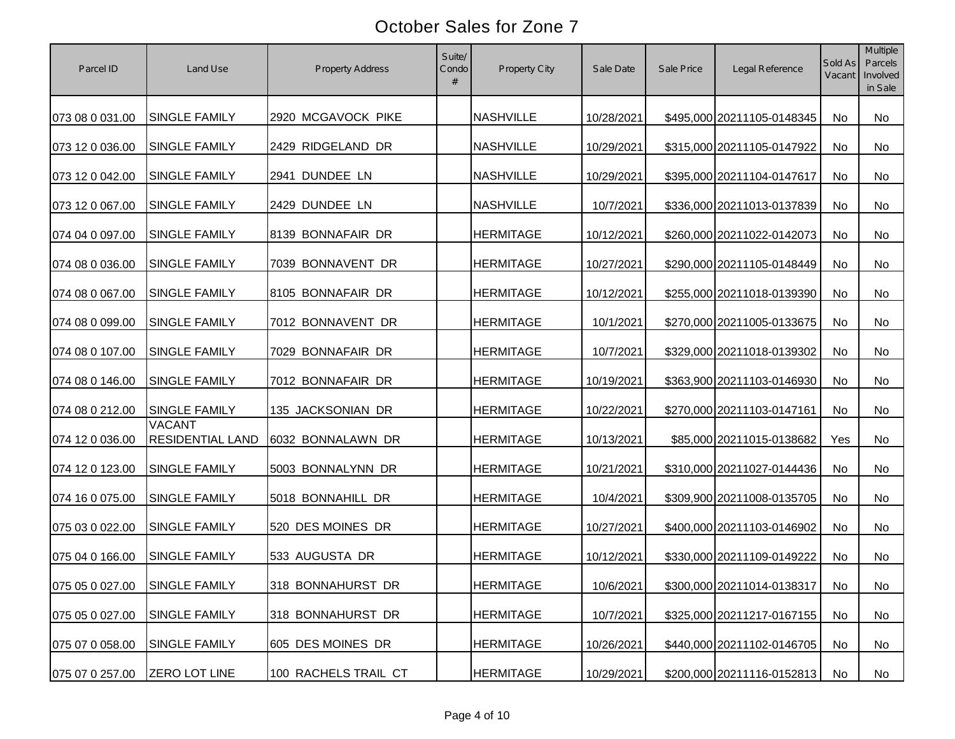| Parcel ID                     | Land Use                                 | <b>Property Address</b> | Suite/<br>Condo | Property City    | Sale Date  | Sale Price | Legal Reference            | Sold As<br>Vacant | <b>Multiple</b><br>Parcels<br>Involved<br>in Sale |
|-------------------------------|------------------------------------------|-------------------------|-----------------|------------------|------------|------------|----------------------------|-------------------|---------------------------------------------------|
| 073 08 0 031.00               | <b>SINGLE FAMILY</b>                     | 2920 MCGAVOCK PIKE      |                 | <b>NASHVILLE</b> | 10/28/2021 |            | \$495,000 20211105-0148345 | <b>No</b>         | No                                                |
| 073 12 0 036.00               | <b>SINGLE FAMILY</b>                     | 2429 RIDGELAND DR       |                 | <b>NASHVILLE</b> | 10/29/2021 |            | \$315,000 20211105-0147922 | <b>No</b>         | No                                                |
| 073 12 0 042.00               | <b>SINGLE FAMILY</b>                     | 2941 DUNDEE LN          |                 | <b>NASHVILLE</b> | 10/29/2021 |            | \$395,000 20211104-0147617 | No                | No                                                |
| 073 12 0 067.00               | SINGLE FAMILY                            | 2429 DUNDEE LN          |                 | <b>NASHVILLE</b> | 10/7/2021  |            | \$336,000 20211013-0137839 | <b>No</b>         | No                                                |
| 074 04 0 097.00               | <b>SINGLE FAMILY</b>                     | 8139 BONNAFAIR DR       |                 | <b>HERMITAGE</b> | 10/12/2021 |            | \$260,000 20211022-0142073 | No                | <b>No</b>                                         |
| 074 08 0 036.00               | <b>SINGLE FAMILY</b>                     | 7039 BONNAVENT DR       |                 | <b>HERMITAGE</b> | 10/27/2021 |            | \$290,000 20211105-0148449 | <b>No</b>         | No                                                |
| 074 08 0 067.00               | <b>SINGLE FAMILY</b>                     | 8105 BONNAFAIR DR       |                 | <b>HERMITAGE</b> | 10/12/2021 |            | \$255,000 20211018-0139390 | No                | No                                                |
| 074 08 0 099.00               | SINGLE FAMILY                            | 7012 BONNAVENT DR       |                 | <b>HERMITAGE</b> | 10/1/2021  |            | \$270,000 20211005-0133675 | No                | <b>No</b>                                         |
| 074 08 0 107.00               | SINGLE FAMILY                            | 7029 BONNAFAIR DR       |                 | <b>HERMITAGE</b> | 10/7/2021  |            | \$329,000 20211018-0139302 | No                | No                                                |
| 074 08 0 146.00               | SINGLE FAMILY                            | 7012 BONNAFAIR DR       |                 | <b>HERMITAGE</b> | 10/19/2021 |            | \$363,900 20211103-0146930 | <b>No</b>         | <b>No</b>                                         |
| 074 08 0 212.00               | <b>SINGLE FAMILY</b>                     | 135 JACKSONIAN DR       |                 | <b>HERMITAGE</b> | 10/22/2021 |            | \$270,000 20211103-0147161 | No                | <b>No</b>                                         |
| 074 12 0 036.00               | <b>VACANT</b><br><b>RESIDENTIAL LAND</b> | 6032 BONNALAWN DR       |                 | <b>HERMITAGE</b> | 10/13/2021 |            | \$85,000 20211015-0138682  | Yes               | <b>No</b>                                         |
| 074 12 0 123.00               | SINGLE FAMILY                            | 5003 BONNALYNN DR       |                 | <b>HERMITAGE</b> | 10/21/2021 |            | \$310,000 20211027-0144436 | No                | <b>No</b>                                         |
| 074 16 0 075.00               | <b>SINGLE FAMILY</b>                     | 5018 BONNAHILL DR       |                 | <b>HERMITAGE</b> | 10/4/2021  |            | \$309,900 20211008-0135705 | No                | <b>No</b>                                         |
| 075 03 0 022.00               | <b>SINGLE FAMILY</b>                     | 520 DES MOINES DR       |                 | <b>HERMITAGE</b> | 10/27/2021 |            | \$400,000 20211103-0146902 | No                | No                                                |
| 075 04 0 166.00               | <b>SINGLE FAMILY</b>                     | 533 AUGUSTA DR          |                 | <b>HERMITAGE</b> | 10/12/2021 |            | \$330,000 20211109-0149222 | <b>No</b>         | No                                                |
| 075 05 0 027.00 SINGLE FAMILY |                                          | 318 BONNAHURST DR       |                 | <b>HERMITAGE</b> | 10/6/2021  |            | \$300,000 20211014-0138317 | No                | No                                                |
| 075 05 0 027.00               | SINGLE FAMILY                            | 318 BONNAHURST DR       |                 | <b>HERMITAGE</b> | 10/7/2021  |            | \$325,000 20211217-0167155 | No                | No                                                |
| 075 07 0 058.00               | SINGLE FAMILY                            | 605 DES MOINES DR       |                 | <b>HERMITAGE</b> | 10/26/2021 |            | \$440,000 20211102-0146705 | No                | No                                                |
| 075 07 0 257.00               | <b>ZERO LOT LINE</b>                     | 100 RACHELS TRAIL CT    |                 | <b>HERMITAGE</b> | 10/29/2021 |            | \$200,000 20211116-0152813 | No                | No                                                |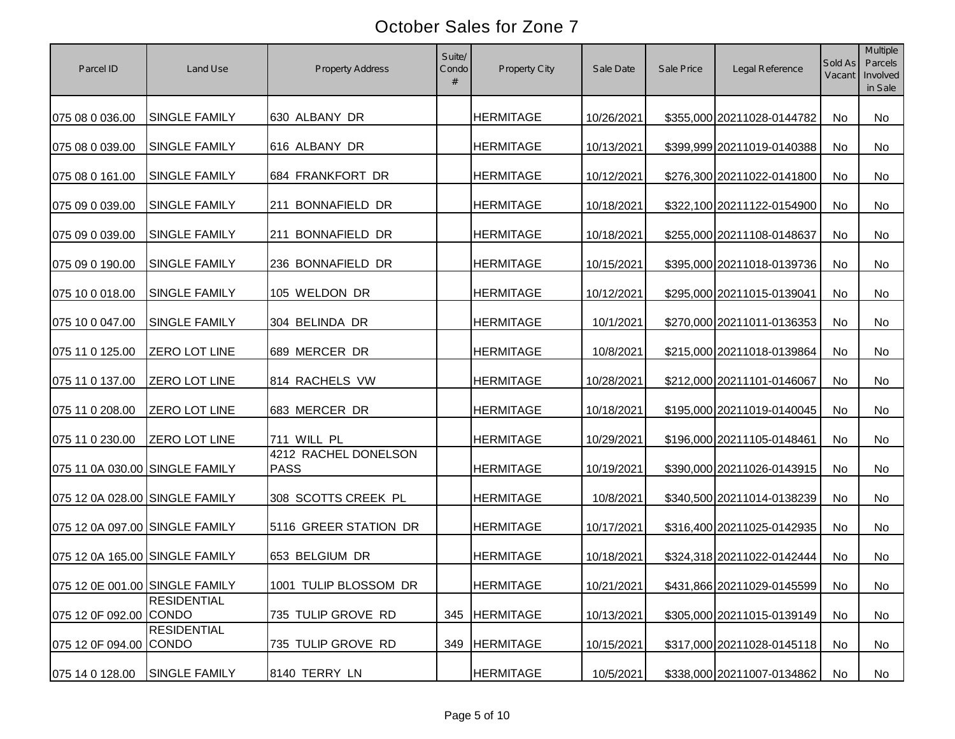| Parcel ID                                 | Land Use             | <b>Property Address</b>             | Suite/<br>Condo | Property City    | Sale Date               | Sale Price | Legal Reference                                          | Sold As<br>Vacant | Multiple<br>Parcels<br>Involved<br>in Sale |
|-------------------------------------------|----------------------|-------------------------------------|-----------------|------------------|-------------------------|------------|----------------------------------------------------------|-------------------|--------------------------------------------|
| 075 08 0 036.00                           | <b>SINGLE FAMILY</b> | 630 ALBANY DR                       |                 | <b>HERMITAGE</b> | 10/26/2021              |            | \$355,000 20211028-0144782                               | No                | No                                         |
| 075 08 0 039.00                           | <b>SINGLE FAMILY</b> | 616 ALBANY DR                       |                 | <b>HERMITAGE</b> | 10/13/2021              |            | \$399,999 20211019-0140388                               | <b>No</b>         | No                                         |
| 075 08 0 161.00                           | <b>SINGLE FAMILY</b> | 684 FRANKFORT DR                    |                 | <b>HERMITAGE</b> | 10/12/2021              |            | \$276,300 20211022-0141800                               | <b>No</b>         | No                                         |
| 075 09 0 039.00                           | SINGLE FAMILY        | 211 BONNAFIELD DR                   |                 | <b>HERMITAGE</b> | 10/18/2021              |            | \$322,100 20211122-0154900                               | <b>No</b>         | No                                         |
| 075 09 0 039.00                           | SINGLE FAMILY        | 211 BONNAFIELD DR                   |                 | <b>HERMITAGE</b> | 10/18/2021              |            | \$255,000 20211108-0148637                               | <b>No</b>         | <b>No</b>                                  |
| 075 09 0 190.00                           | SINGLE FAMILY        | 236 BONNAFIELD DR                   |                 | <b>HERMITAGE</b> | 10/15/2021              |            | \$395,000 20211018-0139736                               | No                | No                                         |
| 075 10 0 018.00                           | SINGLE FAMILY        | 105 WELDON DR                       |                 | <b>HERMITAGE</b> | 10/12/2021              |            | \$295,000 20211015-0139041                               | No                | No                                         |
| 075 10 0 047.00                           | <b>SINGLE FAMILY</b> | 304 BELINDA DR                      |                 | <b>HERMITAGE</b> | 10/1/2021               |            | \$270,000 20211011-0136353                               | No                | <b>No</b>                                  |
| 075 11 0 125.00                           | ZERO LOT LINE        | 689 MERCER DR                       |                 | <b>HERMITAGE</b> | 10/8/2021               |            | \$215,000 20211018-0139864                               | No                | No                                         |
| 075 11 0 137.00                           | ZERO LOT LINE        | 814 RACHELS VW                      |                 | <b>HERMITAGE</b> | 10/28/2021              |            | \$212,000 20211101-0146067                               | <b>No</b>         | No                                         |
| 075 11 0 208.00                           | <b>ZERO LOT LINE</b> | 683 MERCER DR                       |                 | <b>HERMITAGE</b> | 10/18/2021              |            | \$195,000 20211019-0140045                               | No                | <b>No</b>                                  |
| 075 11 0 230.00                           | <b>ZERO LOT LINE</b> | 711 WILL PL                         |                 | <b>HERMITAGE</b> | 10/29/2021              |            | \$196,000 20211105-0148461                               | <b>No</b>         | No                                         |
| 075 11 0A 030.00 SINGLE FAMILY            |                      | 4212 RACHEL DONELSON<br><b>PASS</b> |                 | <b>HERMITAGE</b> | 10/19/2021              |            | \$390,000 20211026-0143915                               | No                | No                                         |
| 075 12 0A 028.00 SINGLE FAMILY            |                      | 308 SCOTTS CREEK PL                 |                 | <b>HERMITAGE</b> | 10/8/2021               |            | \$340,500 20211014-0138239                               | No                | <b>No</b>                                  |
| 075 12 0A 097.00 SINGLE FAMILY            |                      | 5116 GREER STATION DR               |                 | <b>HERMITAGE</b> | 10/17/2021              |            | \$316,400 20211025-0142935                               | No                | No                                         |
| 075 12 0A 165.00 SINGLE FAMILY            |                      | 653 BELGIUM DR                      |                 | <b>HERMITAGE</b> | 10/18/2021              |            | \$324,318 20211022-0142444                               | <b>No</b>         | No                                         |
| 075 12 0E 001.00 SINGLE FAMILY            |                      | 1001 TULIP BLOSSOM DR               |                 | <b>HERMITAGE</b> | 10/21/2021              |            | \$431,866 20211029-0145599                               | No                | No                                         |
| 075 12 0F 092.00 CONDO                    | <b>RESIDENTIAL</b>   | 735 TULIP GROVE RD                  |                 | 345 HERMITAGE    | 10/13/2021              |            | \$305,000 20211015-0139149                               | No                | No                                         |
|                                           | <b>RESIDENTIAL</b>   |                                     |                 | 349 HERMITAGE    |                         |            |                                                          |                   |                                            |
| 075 12 0F 094.00 CONDO<br>075 14 0 128.00 | SINGLE FAMILY        | 735 TULIP GROVE RD<br>8140 TERRY LN |                 | <b>HERMITAGE</b> | 10/15/2021<br>10/5/2021 |            | \$317,000 20211028-0145118<br>\$338,000 20211007-0134862 | No<br>No          | No<br>No                                   |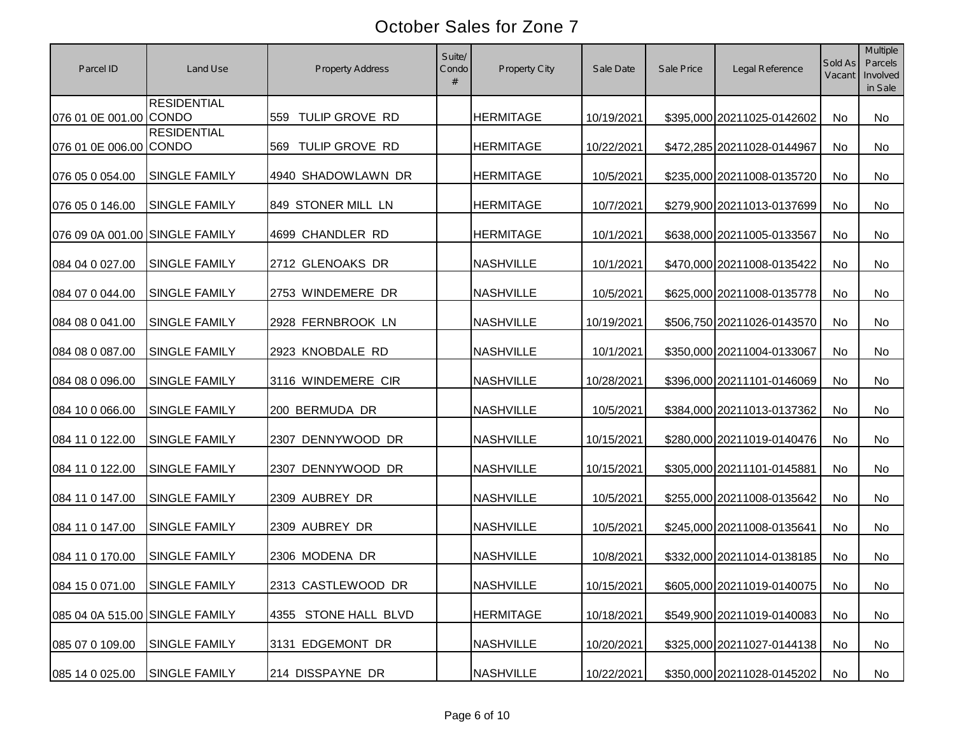| Parcel ID                      | Land Use             | <b>Property Address</b> | Suite/<br>Condo | <b>Property City</b> | Sale Date  | Sale Price | Legal Reference            | Sold As<br>Vacant | Multiple<br>Parcels<br>Involved<br>in Sale |
|--------------------------------|----------------------|-------------------------|-----------------|----------------------|------------|------------|----------------------------|-------------------|--------------------------------------------|
| 076 01 0E 001.00 CONDO         | <b>RESIDENTIAL</b>   | 559 TULIP GROVE RD      |                 | <b>HERMITAGE</b>     | 10/19/2021 |            | \$395,000 20211025-0142602 | No                | <b>No</b>                                  |
| 076 01 0E 006.00 CONDO         | <b>RESIDENTIAL</b>   | TULIP GROVE RD<br>569   |                 | <b>HERMITAGE</b>     | 10/22/2021 |            | \$472,285 20211028-0144967 | No                | No                                         |
| 076 05 0 054.00                | SINGLE FAMILY        | 4940 SHADOWLAWN DR      |                 | <b>HERMITAGE</b>     | 10/5/2021  |            | \$235,000 20211008-0135720 | No                | <b>No</b>                                  |
| 076 05 0 146.00                | <b>SINGLE FAMILY</b> | 849 STONER MILL LN      |                 | <b>HERMITAGE</b>     | 10/7/2021  |            | \$279,900 20211013-0137699 | No                | No                                         |
| 076 09 0A 001.00 SINGLE FAMILY |                      | 4699 CHANDLER RD        |                 | <b>HERMITAGE</b>     | 10/1/2021  |            | \$638,000 20211005-0133567 | No                | No                                         |
| 084 04 0 027.00                | <b>SINGLE FAMILY</b> | 2712 GLENOAKS DR        |                 | <b>NASHVILLE</b>     | 10/1/2021  |            | \$470,000 20211008-0135422 | No                | No                                         |
| 084 07 0 044.00                | SINGLE FAMILY        | 2753 WINDEMERE DR       |                 | <b>NASHVILLE</b>     | 10/5/2021  |            | \$625,000 20211008-0135778 | No                | No                                         |
| 084 08 0 041.00                | <b>SINGLE FAMILY</b> | 2928 FERNBROOK LN       |                 | <b>NASHVILLE</b>     | 10/19/2021 |            | \$506,750 20211026-0143570 | No                | No                                         |
| 084 08 0 087.00                | <b>SINGLE FAMILY</b> | 2923 KNOBDALE RD        |                 | <b>NASHVILLE</b>     | 10/1/2021  |            | \$350,000 20211004-0133067 | No                | No                                         |
| 084 08 0 096.00                | SINGLE FAMILY        | 3116 WINDEMERE CIR      |                 | <b>NASHVILLE</b>     | 10/28/2021 |            | \$396,000 20211101-0146069 | No                | No                                         |
| 084 10 0 066.00                | SINGLE FAMILY        | 200 BERMUDA DR          |                 | <b>NASHVILLE</b>     | 10/5/2021  |            | \$384,000 20211013-0137362 | No                | No                                         |
| 084 11 0 122.00                | <b>SINGLE FAMILY</b> | 2307 DENNYWOOD DR       |                 | <b>NASHVILLE</b>     | 10/15/2021 |            | \$280,000 20211019-0140476 | No                | <b>No</b>                                  |
| 084 11 0 122.00                | SINGLE FAMILY        | 2307 DENNYWOOD DR       |                 | <b>NASHVILLE</b>     | 10/15/2021 |            | \$305,000 20211101-0145881 | No                | <b>No</b>                                  |
| 084 11 0 147.00                | SINGLE FAMILY        | 2309 AUBREY DR          |                 | <b>NASHVILLE</b>     | 10/5/2021  |            | \$255,000 20211008-0135642 | No                | No                                         |
| 084 11 0 147.00                | SINGLE FAMILY        | 2309 AUBREY DR          |                 | <b>NASHVILLE</b>     | 10/5/2021  |            | \$245,000 20211008-0135641 | No                | <b>No</b>                                  |
| 084 11 0 170.00                | <b>SINGLE FAMILY</b> | 2306 MODENA DR          |                 | <b>NASHVILLE</b>     | 10/8/2021  |            | \$332,000 20211014-0138185 | No                | No                                         |
| 084 15 0 071.00 SINGLE FAMILY  |                      | 2313 CASTLEWOOD DR      |                 | <b>NASHVILLE</b>     | 10/15/2021 |            | \$605,000 20211019-0140075 | No                | No                                         |
| 085 04 0A 515.00 SINGLE FAMILY |                      | 4355 STONE HALL BLVD    |                 | <b>HERMITAGE</b>     | 10/18/2021 |            | \$549,900 20211019-0140083 | No                | No                                         |
| 085 07 0 109.00                | SINGLE FAMILY        | 3131 EDGEMONT DR        |                 | <b>NASHVILLE</b>     | 10/20/2021 |            | \$325,000 20211027-0144138 | No                | No                                         |
| 085 14 0 025.00                | SINGLE FAMILY        | 214 DISSPAYNE DR        |                 | <b>NASHVILLE</b>     | 10/22/2021 |            | \$350,000 20211028-0145202 | No                | No                                         |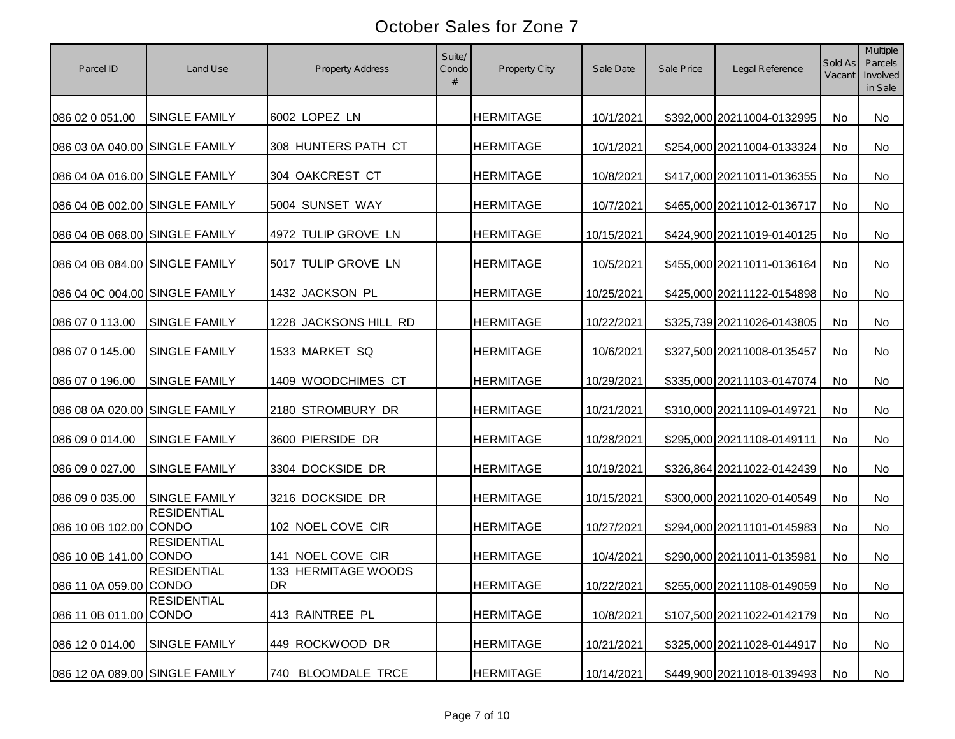| Parcel ID                      | Land Use             | <b>Property Address</b>          | Suite/<br>Condo | Property City    | Sale Date  | Sale Price | Legal Reference            | Sold As<br>Vacant | <b>Multiple</b><br>Parcels<br>Involved<br>in Sale |
|--------------------------------|----------------------|----------------------------------|-----------------|------------------|------------|------------|----------------------------|-------------------|---------------------------------------------------|
| 086 02 0 051.00                | <b>SINGLE FAMILY</b> | 6002 LOPEZ LN                    |                 | <b>HERMITAGE</b> | 10/1/2021  |            | \$392,000 20211004-0132995 | <b>No</b>         | No                                                |
| 086 03 0A 040.00 SINGLE FAMILY |                      | 308 HUNTERS PATH CT              |                 | <b>HERMITAGE</b> | 10/1/2021  |            | \$254,000 20211004-0133324 | <b>No</b>         | No                                                |
| 086 04 0A 016.00 SINGLE FAMILY |                      | 304 OAKCREST CT                  |                 | <b>HERMITAGE</b> | 10/8/2021  |            | \$417,000 20211011-0136355 | <b>No</b>         | No                                                |
| 086 04 0B 002.00 SINGLE FAMILY |                      | 5004 SUNSET WAY                  |                 | <b>HERMITAGE</b> | 10/7/2021  |            | \$465,000 20211012-0136717 | <b>No</b>         | No                                                |
| 086 04 0B 068.00 SINGLE FAMILY |                      | 4972 TULIP GROVE LN              |                 | <b>HERMITAGE</b> | 10/15/2021 |            | \$424,900 20211019-0140125 | <b>No</b>         | No                                                |
| 086 04 0B 084.00 SINGLE FAMILY |                      | 5017 TULIP GROVE LN              |                 | <b>HERMITAGE</b> | 10/5/2021  |            | \$455,000 20211011-0136164 | <b>No</b>         | No                                                |
| 086 04 0C 004.00 SINGLE FAMILY |                      | 1432 JACKSON PL                  |                 | <b>HERMITAGE</b> | 10/25/2021 |            | \$425,000 20211122-0154898 | No                | No                                                |
| 086 07 0 113.00                | SINGLE FAMILY        | 1228 JACKSONS HILL RD            |                 | <b>HERMITAGE</b> | 10/22/2021 |            | \$325,739 20211026-0143805 | No                | <b>No</b>                                         |
| 086 07 0 145.00                | <b>SINGLE FAMILY</b> | 1533 MARKET SQ                   |                 | <b>HERMITAGE</b> | 10/6/2021  |            | \$327,500 20211008-0135457 | No                | No                                                |
| 086 07 0 196.00                | <b>SINGLE FAMILY</b> | 1409 WOODCHIMES CT               |                 | <b>HERMITAGE</b> | 10/29/2021 |            | \$335,000 20211103-0147074 | No                | No                                                |
| 086 08 0A 020.00 SINGLE FAMILY |                      | 2180 STROMBURY DR                |                 | <b>HERMITAGE</b> | 10/21/2021 |            | \$310,000 20211109-0149721 | <b>No</b>         | <b>No</b>                                         |
| 086 09 0 014.00                | <b>SINGLE FAMILY</b> | 3600 PIERSIDE DR                 |                 | <b>HERMITAGE</b> | 10/28/2021 |            | \$295,000 20211108-0149111 | <b>No</b>         | No                                                |
| 086 09 0 027.00                | <b>SINGLE FAMILY</b> | 3304 DOCKSIDE DR                 |                 | <b>HERMITAGE</b> | 10/19/2021 |            | \$326,864 20211022-0142439 | No                | No                                                |
| 086 09 0 035.00                | <b>SINGLE FAMILY</b> | 3216 DOCKSIDE DR                 |                 | <b>HERMITAGE</b> | 10/15/2021 |            | \$300,000 20211020-0140549 | No                | <b>No</b>                                         |
| 086 10 0B 102.00 CONDO         | <b>RESIDENTIAL</b>   | 102 NOEL COVE CIR                |                 | <b>HERMITAGE</b> | 10/27/2021 |            | \$294,000 20211101-0145983 | No                | No                                                |
| 086 10 0B 141.00 CONDO         | <b>RESIDENTIAL</b>   | 141 NOEL COVE CIR                |                 | <b>HERMITAGE</b> | 10/4/2021  |            | \$290,000 20211011-0135981 | No                | No                                                |
| 086 11 0A 059.00 CONDO         | <b>RESIDENTIAL</b>   | 133 HERMITAGE WOODS<br><b>DR</b> |                 | <b>HERMITAGE</b> | 10/22/2021 |            | \$255,000 20211108-0149059 | No                | No                                                |
| 086 11 0B 011.00 CONDO         | <b>RESIDENTIAL</b>   | 413 RAINTREE PL                  |                 | <b>HERMITAGE</b> | 10/8/2021  |            | \$107,500 20211022-0142179 | No                | No                                                |
| 086 12 0 014.00                | SINGLE FAMILY        | 449 ROCKWOOD DR                  |                 | <b>HERMITAGE</b> | 10/21/2021 |            | \$325,000 20211028-0144917 | No                | No                                                |
| 086 12 0A 089.00 SINGLE FAMILY |                      | 740 BLOOMDALE TRCE               |                 | <b>HERMITAGE</b> | 10/14/2021 |            | \$449,900 20211018-0139493 | No                | No                                                |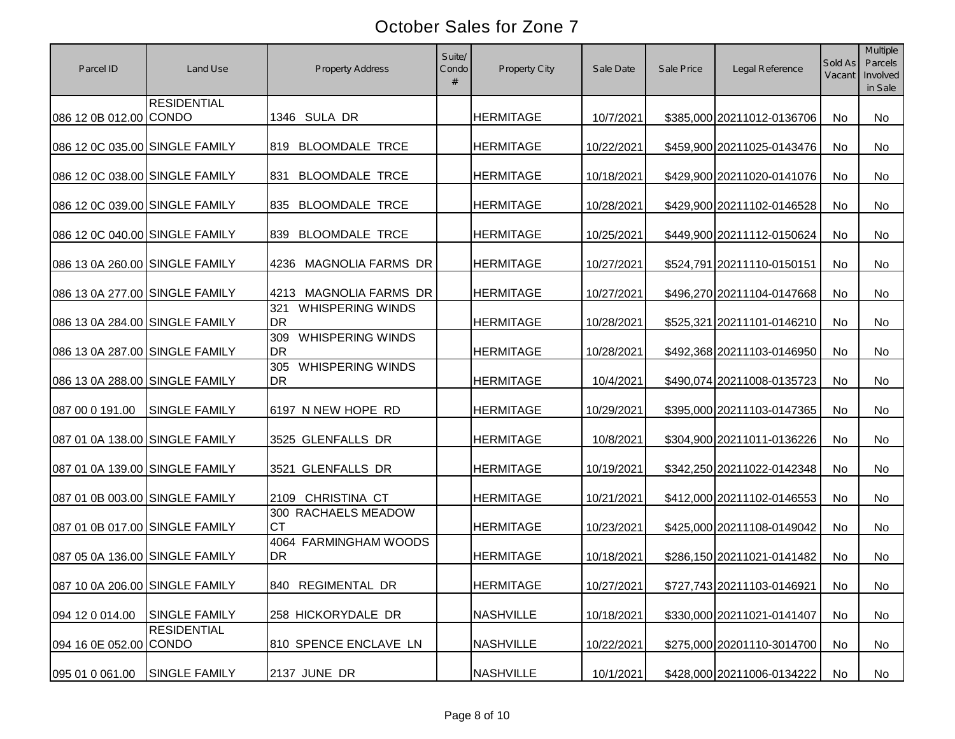| Parcel ID                      | Land Use             | <b>Property Address</b>                     | Suite/<br>Condo | Property City    | Sale Date  | Sale Price | Legal Reference            | Sold As<br>Vacant | Multiple<br>Parcels<br>Involved<br>in Sale |
|--------------------------------|----------------------|---------------------------------------------|-----------------|------------------|------------|------------|----------------------------|-------------------|--------------------------------------------|
| 086 12 0B 012.00 CONDO         | <b>RESIDENTIAL</b>   | 1346 SULA DR                                |                 | <b>HERMITAGE</b> | 10/7/2021  |            | \$385,000 20211012-0136706 | No                | <b>No</b>                                  |
| 086 12 0C 035.00 SINGLE FAMILY |                      | 819 BLOOMDALE TRCE                          |                 | <b>HERMITAGE</b> | 10/22/2021 |            | \$459,900 20211025-0143476 | No                | No                                         |
| 086 12 0C 038.00 SINGLE FAMILY |                      | <b>BLOOMDALE TRCE</b><br>831                |                 | <b>HERMITAGE</b> | 10/18/2021 |            | \$429,900 20211020-0141076 | <b>No</b>         | <b>No</b>                                  |
| 086 12 0C 039.00 SINGLE FAMILY |                      | 835 BLOOMDALE TRCE                          |                 | <b>HERMITAGE</b> | 10/28/2021 |            | \$429,900 20211102-0146528 | <b>No</b>         | No                                         |
| 086 12 0C 040.00 SINGLE FAMILY |                      | <b>BLOOMDALE TRCE</b><br>839                |                 | <b>HERMITAGE</b> | 10/25/2021 |            | \$449,900 20211112-0150624 | No                | No                                         |
| 086 13 0A 260.00 SINGLE FAMILY |                      | <b>MAGNOLIA FARMS DR</b><br>4236            |                 | <b>HERMITAGE</b> | 10/27/2021 |            | \$524,791 20211110-0150151 | No                | <b>No</b>                                  |
| 086 13 0A 277.00 SINGLE FAMILY |                      | MAGNOLIA FARMS DR<br>4213                   |                 | <b>HERMITAGE</b> | 10/27/2021 |            | \$496,270 20211104-0147668 | No                | No                                         |
| 086 13 0A 284.00 SINGLE FAMILY |                      | <b>WHISPERING WINDS</b><br>321<br><b>DR</b> |                 | <b>HERMITAGE</b> | 10/28/2021 |            | \$525,321 20211101-0146210 | No                | No                                         |
| 086 13 0A 287.00 SINGLE FAMILY |                      | <b>WHISPERING WINDS</b><br>309<br><b>DR</b> |                 | <b>HERMITAGE</b> | 10/28/2021 |            | \$492,368 20211103-0146950 | No                | No                                         |
| 086 13 0A 288.00 SINGLE FAMILY |                      | <b>WHISPERING WINDS</b><br>305<br><b>DR</b> |                 | <b>HERMITAGE</b> | 10/4/2021  |            | \$490,074 20211008-0135723 | No                | No                                         |
| 087 00 0 191.00                | <b>SINGLE FAMILY</b> | 6197 N NEW HOPE RD                          |                 | <b>HERMITAGE</b> | 10/29/2021 |            | \$395,000 20211103-0147365 | No                | No                                         |
| 087 01 0A 138.00 SINGLE FAMILY |                      | 3525 GLENFALLS DR                           |                 | <b>HERMITAGE</b> | 10/8/2021  |            | \$304,900 20211011-0136226 | No                | <b>No</b>                                  |
| 087 01 0A 139.00 SINGLE FAMILY |                      | 3521 GLENFALLS DR                           |                 | <b>HERMITAGE</b> | 10/19/2021 |            | \$342,250 20211022-0142348 | No                | <b>No</b>                                  |
| 087 01 0B 003.00 SINGLE FAMILY |                      | 2109 CHRISTINA CT                           |                 | <b>HERMITAGE</b> | 10/21/2021 |            | \$412,000 20211102-0146553 | <b>No</b>         | <b>No</b>                                  |
| 087 01 0B 017.00 SINGLE FAMILY |                      | 300 RACHAELS MEADOW<br><b>CT</b>            |                 | <b>HERMITAGE</b> | 10/23/2021 |            | \$425,000 20211108-0149042 | No                | <b>No</b>                                  |
| 087 05 0A 136.00 SINGLE FAMILY |                      | 4064 FARMINGHAM WOODS<br><b>DR</b>          |                 | <b>HERMITAGE</b> | 10/18/2021 |            | \$286,150 20211021-0141482 | No                | No                                         |
| 087 10 0A 206.00 SINGLE FAMILY |                      | 840 REGIMENTAL DR                           |                 | <b>HERMITAGE</b> | 10/27/2021 |            | \$727,743 20211103-0146921 | No                | No                                         |
| 094 12 0 014.00                | <b>SINGLE FAMILY</b> | 258 HICKORYDALE DR                          |                 | <b>NASHVILLE</b> | 10/18/2021 |            | \$330,000 20211021-0141407 | No                | No                                         |
| 094 16 0E 052.00 CONDO         | <b>RESIDENTIAL</b>   | 810 SPENCE ENCLAVE LN                       |                 | <b>NASHVILLE</b> | 10/22/2021 |            | \$275,000 20201110-3014700 | No                | No                                         |
| 095 01 0 061.00                | SINGLE FAMILY        | 2137 JUNE DR                                |                 | <b>NASHVILLE</b> | 10/1/2021  |            | \$428,000 20211006-0134222 | No                | No                                         |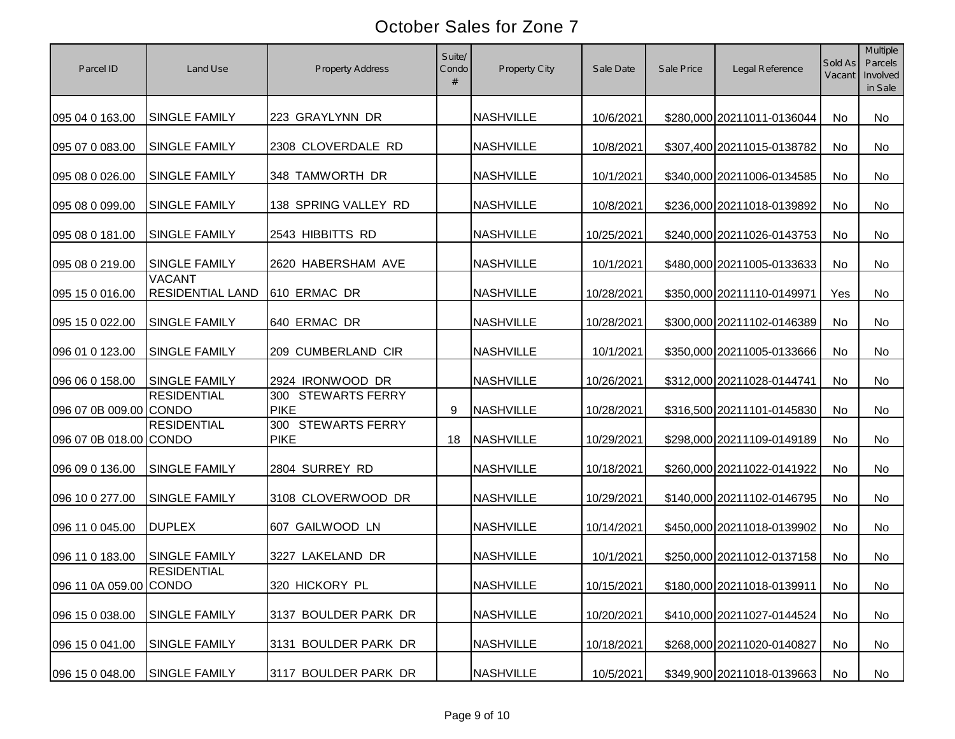| Parcel ID              | Land Use                                 | <b>Property Address</b>                     | Suite/<br>Condo | Property City    | Sale Date  | Sale Price | Legal Reference            | Sold As<br>Vacant | Multiple<br>Parcels<br>Involved<br>in Sale |
|------------------------|------------------------------------------|---------------------------------------------|-----------------|------------------|------------|------------|----------------------------|-------------------|--------------------------------------------|
| 095 04 0 163.00        | <b>SINGLE FAMILY</b>                     | 223 GRAYLYNN DR                             |                 | <b>NASHVILLE</b> | 10/6/2021  |            | \$280,000 20211011-0136044 | No                | <b>No</b>                                  |
| 095 07 0 083.00        | <b>SINGLE FAMILY</b>                     | 2308 CLOVERDALE RD                          |                 | <b>NASHVILLE</b> | 10/8/2021  |            | \$307,400 20211015-0138782 | No                | No                                         |
| 095 08 0 026.00        | <b>SINGLE FAMILY</b>                     | 348 TAMWORTH DR                             |                 | <b>NASHVILLE</b> | 10/1/2021  |            | \$340,000 20211006-0134585 | <b>No</b>         | <b>No</b>                                  |
| 095 08 0 099.00        | <b>SINGLE FAMILY</b>                     | 138 SPRING VALLEY RD                        |                 | <b>NASHVILLE</b> | 10/8/2021  |            | \$236,000 20211018-0139892 | <b>No</b>         | <b>No</b>                                  |
| 095 08 0 181.00        | SINGLE FAMILY                            | 2543 HIBBITTS RD                            |                 | <b>NASHVILLE</b> | 10/25/2021 |            | \$240,000 20211026-0143753 | <b>No</b>         | No                                         |
| 095 08 0 219.00        | <b>SINGLE FAMILY</b>                     | 2620 HABERSHAM AVE                          |                 | <b>NASHVILLE</b> | 10/1/2021  |            | \$480,000 20211005-0133633 | No                | <b>No</b>                                  |
| 095 15 0 016.00        | <b>VACANT</b><br><b>RESIDENTIAL LAND</b> | 610 ERMAC DR                                |                 | <b>NASHVILLE</b> | 10/28/2021 |            | \$350,000 20211110-0149971 | Yes               | No                                         |
| 095 15 0 022.00        | SINGLE FAMILY                            | 640 ERMAC DR                                |                 | <b>NASHVILLE</b> | 10/28/2021 |            | \$300,000 20211102-0146389 | <b>No</b>         | No                                         |
| 096 01 0 123.00        | <b>SINGLE FAMILY</b>                     | 209 CUMBERLAND CIR                          |                 | <b>NASHVILLE</b> | 10/1/2021  |            | \$350,000 20211005-0133666 | No                | No                                         |
| 096 06 0 158.00        | SINGLE FAMILY                            | 2924 IRONWOOD DR                            |                 | <b>NASHVILLE</b> | 10/26/2021 |            | \$312,000 20211028-0144741 | No                | No                                         |
| 096 07 0B 009.00 CONDO | <b>RESIDENTIAL</b>                       | <b>STEWARTS FERRY</b><br>300<br><b>PIKE</b> | 9               | <b>NASHVILLE</b> | 10/28/2021 |            | \$316,500 20211101-0145830 | No                | No                                         |
| 096 07 0B 018.00 CONDO | <b>RESIDENTIAL</b>                       | 300 STEWARTS FERRY<br><b>PIKE</b>           | 18              | <b>NASHVILLE</b> | 10/29/2021 |            | \$298,000 20211109-0149189 | No                | <b>No</b>                                  |
| 096 09 0 136.00        | SINGLE FAMILY                            | 2804 SURREY RD                              |                 | <b>NASHVILLE</b> | 10/18/2021 |            | \$260,000 20211022-0141922 | No                | <b>No</b>                                  |
| 096 10 0 277.00        | <b>SINGLE FAMILY</b>                     | 3108 CLOVERWOOD DR                          |                 | <b>NASHVILLE</b> | 10/29/2021 |            | \$140,000 20211102-0146795 | No                | <b>No</b>                                  |
| 096 11 0 045.00        | <b>DUPLEX</b>                            | 607 GAILWOOD LN                             |                 | <b>NASHVILLE</b> | 10/14/2021 |            | \$450,000 20211018-0139902 | No                | <b>No</b>                                  |
| 096 11 0 183.00        | <b>SINGLE FAMILY</b>                     | 3227 LAKELAND DR                            |                 | <b>NASHVILLE</b> | 10/1/2021  |            | \$250,000 20211012-0137158 | No                | No                                         |
| 096 11 0A 059.00 CONDO | <b>RESIDENTIAL</b>                       | 320 HICKORY PL                              |                 | <b>NASHVILLE</b> | 10/15/2021 |            | \$180,000 20211018-0139911 | No                | No                                         |
| 096 15 0 038.00        | <b>SINGLE FAMILY</b>                     | 3137 BOULDER PARK DR                        |                 | <b>NASHVILLE</b> | 10/20/2021 |            | \$410,000 20211027-0144524 | No                | No                                         |
| 096 15 0 041.00        | SINGLE FAMILY                            | 3131 BOULDER PARK DR                        |                 | <b>NASHVILLE</b> | 10/18/2021 |            | \$268,000 20211020-0140827 | No                | No                                         |
| 096 15 0 048.00        | SINGLE FAMILY                            | 3117 BOULDER PARK DR                        |                 | <b>NASHVILLE</b> | 10/5/2021  |            | \$349,900 20211018-0139663 | No                | No                                         |